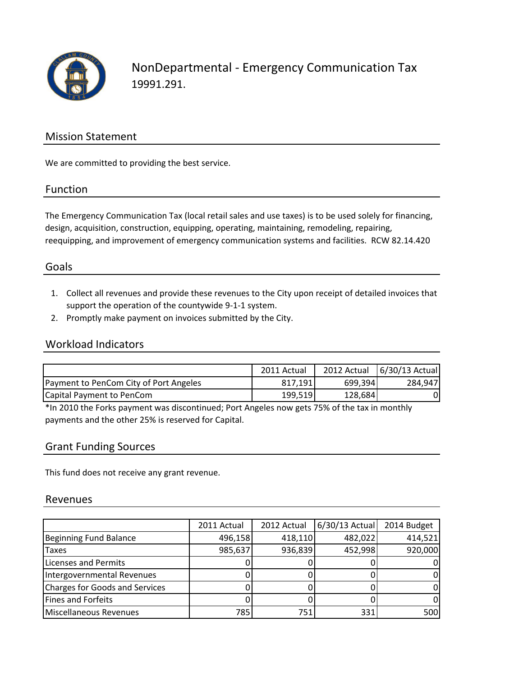

NonDepartmental - Emergency Communication Tax 19991.291.

### Mission Statement

We are committed to providing the best service.

#### Function

The Emergency Communication Tax (local retail sales and use taxes) is to be used solely for financing, design, acquisition, construction, equipping, operating, maintaining, remodeling, repairing, reequipping, and improvement of emergency communication systems and facilities. RCW 82.14.420

### Goals

- 1. Collect all revenues and provide these revenues to the City upon receipt of detailed invoices that support the operation of the countywide 9-1-1 system.
- 2. Promptly make payment on invoices submitted by the City.

#### Workload Indicators

|                                        | 2011 Actual |         | 2012 Actual   6/30/13 Actual |
|----------------------------------------|-------------|---------|------------------------------|
| Payment to PenCom City of Port Angeles | 817,191     | 699,394 | 284.947                      |
| Capital Payment to PenCom              | 199,519     | 128,684 |                              |

\*In 2010 the Forks payment was discontinued; Port Angeles now gets 75% of the tax in monthly payments and the other 25% is reserved for Capital.

#### Grant Funding Sources

This fund does not receive any grant revenue.

#### Revenues

|                                       | 2011 Actual | 2012 Actual | 6/30/13 Actual | 2014 Budget |
|---------------------------------------|-------------|-------------|----------------|-------------|
| Beginning Fund Balance                | 496,158     | 418,110     | 482,022        | 414,521     |
| <b>Taxes</b>                          | 985,637     | 936,839     | 452,998        | 920,000     |
| Licenses and Permits                  |             |             |                |             |
| Intergovernmental Revenues            |             |             |                |             |
| <b>Charges for Goods and Services</b> |             |             |                |             |
| Fines and Forfeits                    |             |             |                |             |
| Miscellaneous Revenues                | 785         | 751         | 331            | 500         |